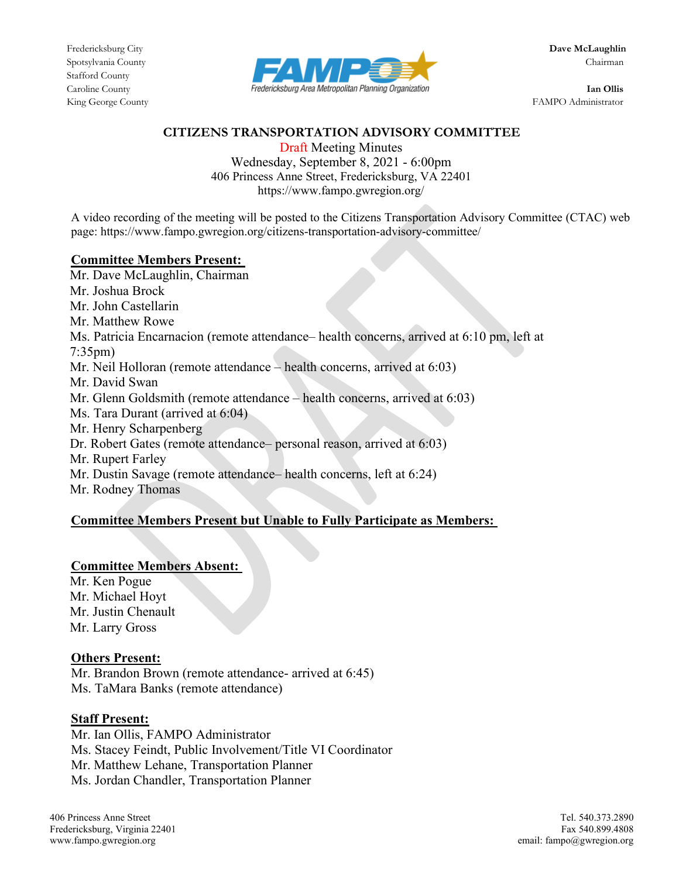Fredericksburg City **Dave McLaughlin** Stafford County



King George County FAMPO Administrator

### **CITIZENS TRANSPORTATION ADVISORY COMMITTEE**

Draft Meeting Minutes Wednesday, September 8, 2021 - 6:00pm 406 Princess Anne Street, Fredericksburg, VA 22401 https://www.fampo.gwregion.org/

A video recording of the meeting will be posted to the Citizens Transportation Advisory Committee (CTAC) web page: https://www.fampo.gwregion.org/citizens-transportation-advisory-committee/

### **Committee Members Present:**

Mr. Dave McLaughlin, Chairman Mr. Joshua Brock Mr. John Castellarin Mr. Matthew Rowe Ms. Patricia Encarnacion (remote attendance– health concerns, arrived at 6:10 pm, left at 7:35pm) Mr. Neil Holloran (remote attendance – health concerns, arrived at 6:03) Mr. David Swan Mr. Glenn Goldsmith (remote attendance – health concerns, arrived at 6:03) Ms. Tara Durant (arrived at 6:04) Mr. Henry Scharpenberg Dr. Robert Gates (remote attendance– personal reason, arrived at 6:03) Mr. Rupert Farley Mr. Dustin Savage (remote attendance– health concerns, left at 6:24) Mr. Rodney Thomas

## **Committee Members Present but Unable to Fully Participate as Members:**

### **Committee Members Absent:**

Mr. Ken Pogue Mr. Michael Hoyt Mr. Justin Chenault Mr. Larry Gross

### **Others Present:**

Mr. Brandon Brown (remote attendance- arrived at 6:45) Ms. TaMara Banks (remote attendance)

### **Staff Present:**

Mr. Ian Ollis, FAMPO Administrator Ms. Stacey Feindt, Public Involvement/Title VI Coordinator Mr. Matthew Lehane, Transportation Planner Ms. Jordan Chandler, Transportation Planner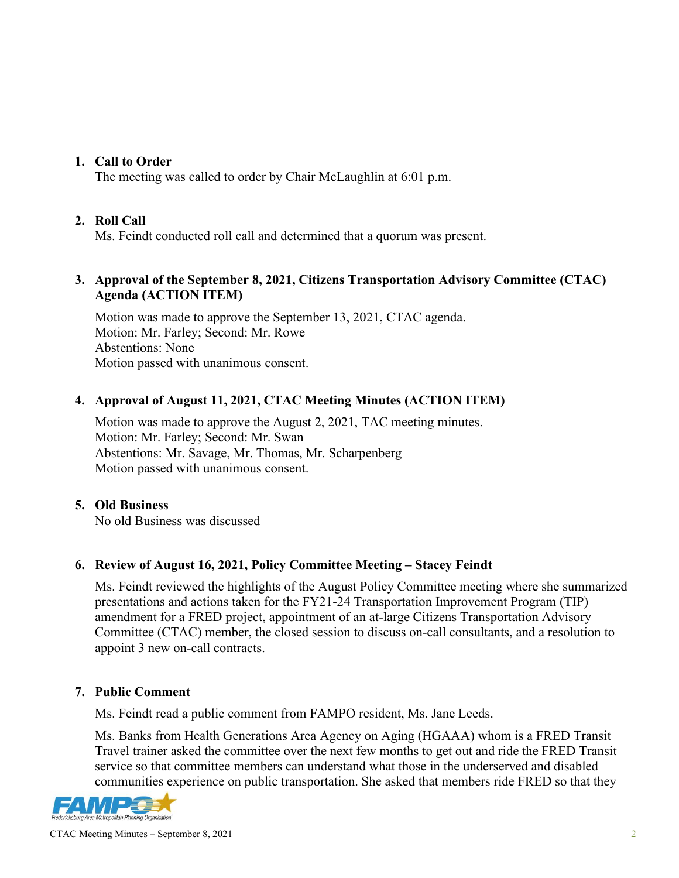## **1. Call to Order**

The meeting was called to order by Chair McLaughlin at 6:01 p.m.

## **2. Roll Call**

Ms. Feindt conducted roll call and determined that a quorum was present.

## **3. Approval of the September 8, 2021, Citizens Transportation Advisory Committee (CTAC) Agenda (ACTION ITEM)**

Motion was made to approve the September 13, 2021, CTAC agenda. Motion: Mr. Farley; Second: Mr. Rowe Abstentions: None Motion passed with unanimous consent.

# **4. Approval of August 11, 2021, CTAC Meeting Minutes (ACTION ITEM)**

Motion was made to approve the August 2, 2021, TAC meeting minutes. Motion: Mr. Farley; Second: Mr. Swan Abstentions: Mr. Savage, Mr. Thomas, Mr. Scharpenberg Motion passed with unanimous consent.

# **5. Old Business**

No old Business was discussed

# **6. Review of August 16, 2021, Policy Committee Meeting – Stacey Feindt**

Ms. Feindt reviewed the highlights of the August Policy Committee meeting where she summarized presentations and actions taken for the FY21-24 Transportation Improvement Program (TIP) amendment for a FRED project, appointment of an at-large Citizens Transportation Advisory Committee (CTAC) member, the closed session to discuss on-call consultants, and a resolution to appoint 3 new on-call contracts.

# **7. Public Comment**

Ms. Feindt read a public comment from FAMPO resident, Ms. Jane Leeds.

Ms. Banks from Health Generations Area Agency on Aging (HGAAA) whom is a FRED Transit Travel trainer asked the committee over the next few months to get out and ride the FRED Transit service so that committee members can understand what those in the underserved and disabled communities experience on public transportation. She asked that members ride FRED so that they

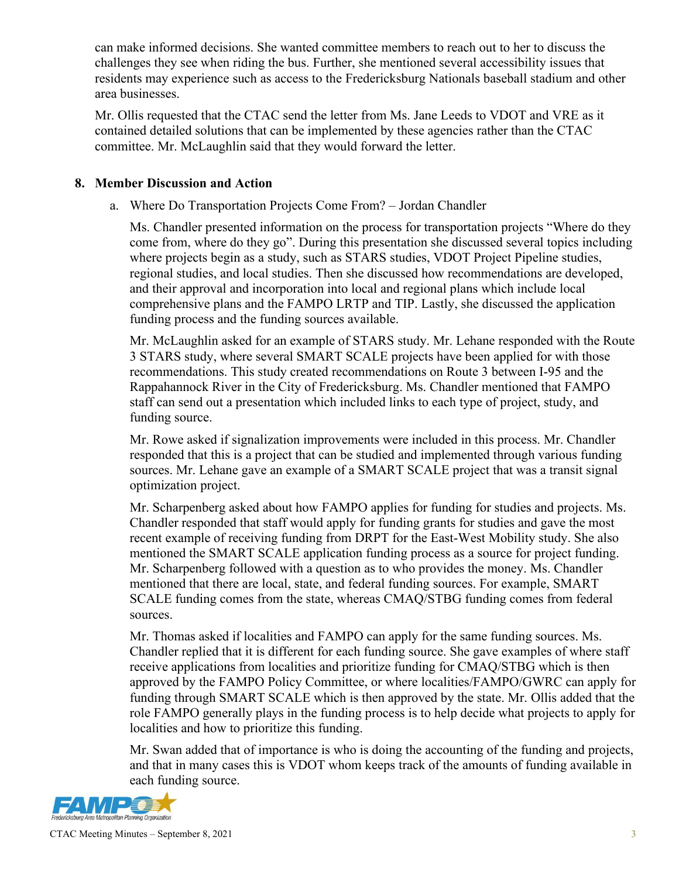can make informed decisions. She wanted committee members to reach out to her to discuss the challenges they see when riding the bus. Further, she mentioned several accessibility issues that residents may experience such as access to the Fredericksburg Nationals baseball stadium and other area businesses.

Mr. Ollis requested that the CTAC send the letter from Ms. Jane Leeds to VDOT and VRE as it contained detailed solutions that can be implemented by these agencies rather than the CTAC committee. Mr. McLaughlin said that they would forward the letter.

### **8. Member Discussion and Action**

a. Where Do Transportation Projects Come From? – Jordan Chandler

Ms. Chandler presented information on the process for transportation projects "Where do they come from, where do they go". During this presentation she discussed several topics including where projects begin as a study, such as STARS studies, VDOT Project Pipeline studies, regional studies, and local studies. Then she discussed how recommendations are developed, and their approval and incorporation into local and regional plans which include local comprehensive plans and the FAMPO LRTP and TIP. Lastly, she discussed the application funding process and the funding sources available.

Mr. McLaughlin asked for an example of STARS study. Mr. Lehane responded with the Route 3 STARS study, where several SMART SCALE projects have been applied for with those recommendations. This study created recommendations on Route 3 between I-95 and the Rappahannock River in the City of Fredericksburg. Ms. Chandler mentioned that FAMPO staff can send out a presentation which included links to each type of project, study, and funding source.

Mr. Rowe asked if signalization improvements were included in this process. Mr. Chandler responded that this is a project that can be studied and implemented through various funding sources. Mr. Lehane gave an example of a SMART SCALE project that was a transit signal optimization project.

Mr. Scharpenberg asked about how FAMPO applies for funding for studies and projects. Ms. Chandler responded that staff would apply for funding grants for studies and gave the most recent example of receiving funding from DRPT for the East-West Mobility study. She also mentioned the SMART SCALE application funding process as a source for project funding. Mr. Scharpenberg followed with a question as to who provides the money. Ms. Chandler mentioned that there are local, state, and federal funding sources. For example, SMART SCALE funding comes from the state, whereas CMAQ/STBG funding comes from federal sources.

Mr. Thomas asked if localities and FAMPO can apply for the same funding sources. Ms. Chandler replied that it is different for each funding source. She gave examples of where staff receive applications from localities and prioritize funding for CMAQ/STBG which is then approved by the FAMPO Policy Committee, or where localities/FAMPO/GWRC can apply for funding through SMART SCALE which is then approved by the state. Mr. Ollis added that the role FAMPO generally plays in the funding process is to help decide what projects to apply for localities and how to prioritize this funding.

Mr. Swan added that of importance is who is doing the accounting of the funding and projects, and that in many cases this is VDOT whom keeps track of the amounts of funding available in each funding source.

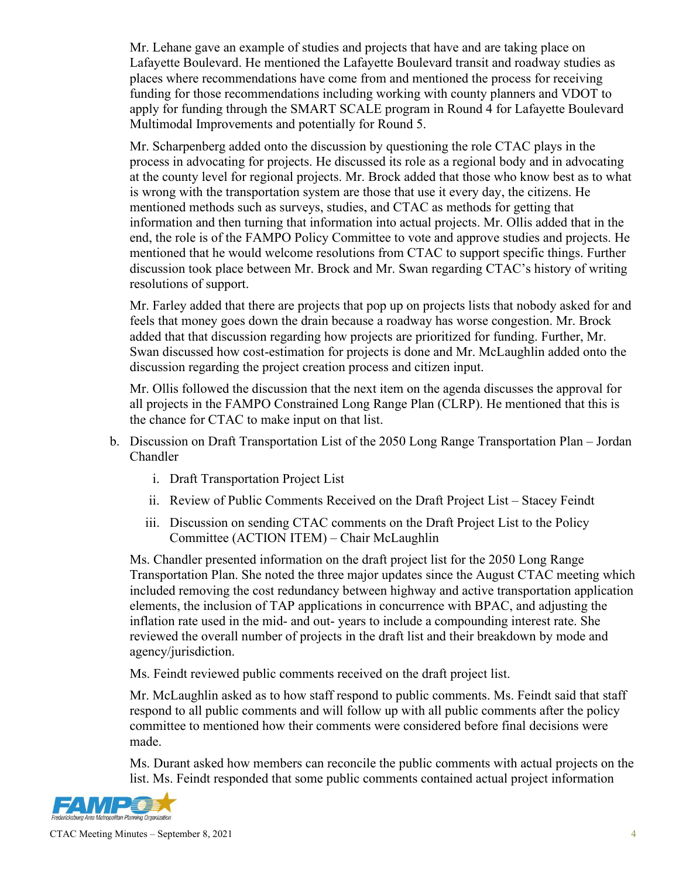Mr. Lehane gave an example of studies and projects that have and are taking place on Lafayette Boulevard. He mentioned the Lafayette Boulevard transit and roadway studies as places where recommendations have come from and mentioned the process for receiving funding for those recommendations including working with county planners and VDOT to apply for funding through the SMART SCALE program in Round 4 for Lafayette Boulevard Multimodal Improvements and potentially for Round 5.

Mr. Scharpenberg added onto the discussion by questioning the role CTAC plays in the process in advocating for projects. He discussed its role as a regional body and in advocating at the county level for regional projects. Mr. Brock added that those who know best as to what is wrong with the transportation system are those that use it every day, the citizens. He mentioned methods such as surveys, studies, and CTAC as methods for getting that information and then turning that information into actual projects. Mr. Ollis added that in the end, the role is of the FAMPO Policy Committee to vote and approve studies and projects. He mentioned that he would welcome resolutions from CTAC to support specific things. Further discussion took place between Mr. Brock and Mr. Swan regarding CTAC's history of writing resolutions of support.

Mr. Farley added that there are projects that pop up on projects lists that nobody asked for and feels that money goes down the drain because a roadway has worse congestion. Mr. Brock added that that discussion regarding how projects are prioritized for funding. Further, Mr. Swan discussed how cost-estimation for projects is done and Mr. McLaughlin added onto the discussion regarding the project creation process and citizen input.

Mr. Ollis followed the discussion that the next item on the agenda discusses the approval for all projects in the FAMPO Constrained Long Range Plan (CLRP). He mentioned that this is the chance for CTAC to make input on that list.

- b. Discussion on Draft Transportation List of the 2050 Long Range Transportation Plan Jordan Chandler
	- i. Draft Transportation Project List
	- ii. Review of Public Comments Received on the Draft Project List Stacey Feindt
	- iii. Discussion on sending CTAC comments on the Draft Project List to the Policy Committee (ACTION ITEM) – Chair McLaughlin

Ms. Chandler presented information on the draft project list for the 2050 Long Range Transportation Plan. She noted the three major updates since the August CTAC meeting which included removing the cost redundancy between highway and active transportation application elements, the inclusion of TAP applications in concurrence with BPAC, and adjusting the inflation rate used in the mid- and out- years to include a compounding interest rate. She reviewed the overall number of projects in the draft list and their breakdown by mode and agency/jurisdiction.

Ms. Feindt reviewed public comments received on the draft project list.

Mr. McLaughlin asked as to how staff respond to public comments. Ms. Feindt said that staff respond to all public comments and will follow up with all public comments after the policy committee to mentioned how their comments were considered before final decisions were made.

Ms. Durant asked how members can reconcile the public comments with actual projects on the list. Ms. Feindt responded that some public comments contained actual project information

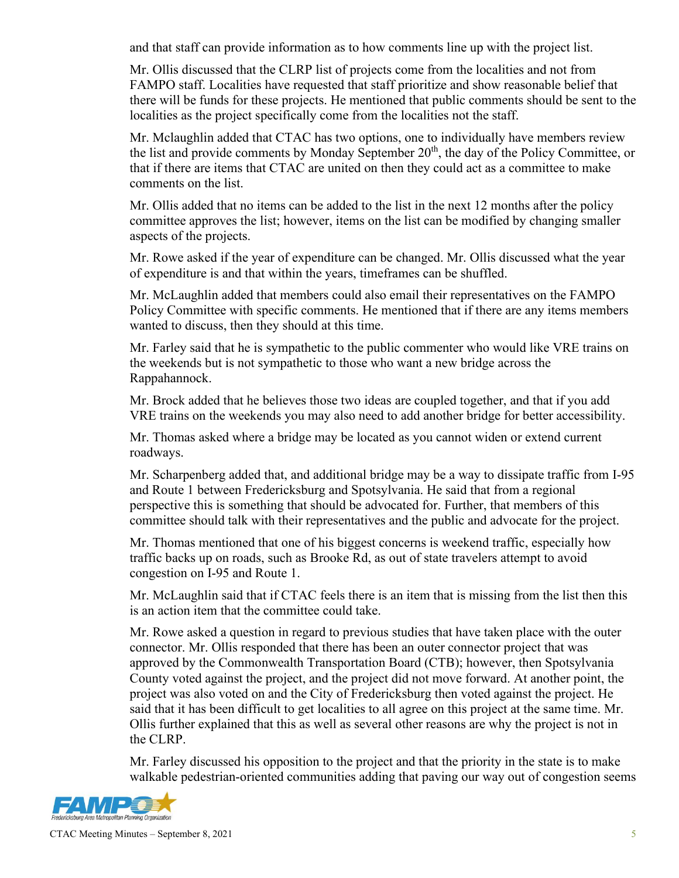and that staff can provide information as to how comments line up with the project list.

Mr. Ollis discussed that the CLRP list of projects come from the localities and not from FAMPO staff. Localities have requested that staff prioritize and show reasonable belief that there will be funds for these projects. He mentioned that public comments should be sent to the localities as the project specifically come from the localities not the staff.

Mr. Mclaughlin added that CTAC has two options, one to individually have members review the list and provide comments by Monday September  $20<sup>th</sup>$ , the day of the Policy Committee, or that if there are items that CTAC are united on then they could act as a committee to make comments on the list.

Mr. Ollis added that no items can be added to the list in the next 12 months after the policy committee approves the list; however, items on the list can be modified by changing smaller aspects of the projects.

Mr. Rowe asked if the year of expenditure can be changed. Mr. Ollis discussed what the year of expenditure is and that within the years, timeframes can be shuffled.

Mr. McLaughlin added that members could also email their representatives on the FAMPO Policy Committee with specific comments. He mentioned that if there are any items members wanted to discuss, then they should at this time.

Mr. Farley said that he is sympathetic to the public commenter who would like VRE trains on the weekends but is not sympathetic to those who want a new bridge across the Rappahannock.

Mr. Brock added that he believes those two ideas are coupled together, and that if you add VRE trains on the weekends you may also need to add another bridge for better accessibility.

Mr. Thomas asked where a bridge may be located as you cannot widen or extend current roadways.

Mr. Scharpenberg added that, and additional bridge may be a way to dissipate traffic from I-95 and Route 1 between Fredericksburg and Spotsylvania. He said that from a regional perspective this is something that should be advocated for. Further, that members of this committee should talk with their representatives and the public and advocate for the project.

Mr. Thomas mentioned that one of his biggest concerns is weekend traffic, especially how traffic backs up on roads, such as Brooke Rd, as out of state travelers attempt to avoid congestion on I-95 and Route 1.

Mr. McLaughlin said that if CTAC feels there is an item that is missing from the list then this is an action item that the committee could take.

Mr. Rowe asked a question in regard to previous studies that have taken place with the outer connector. Mr. Ollis responded that there has been an outer connector project that was approved by the Commonwealth Transportation Board (CTB); however, then Spotsylvania County voted against the project, and the project did not move forward. At another point, the project was also voted on and the City of Fredericksburg then voted against the project. He said that it has been difficult to get localities to all agree on this project at the same time. Mr. Ollis further explained that this as well as several other reasons are why the project is not in the CLRP.

Mr. Farley discussed his opposition to the project and that the priority in the state is to make walkable pedestrian-oriented communities adding that paving our way out of congestion seems

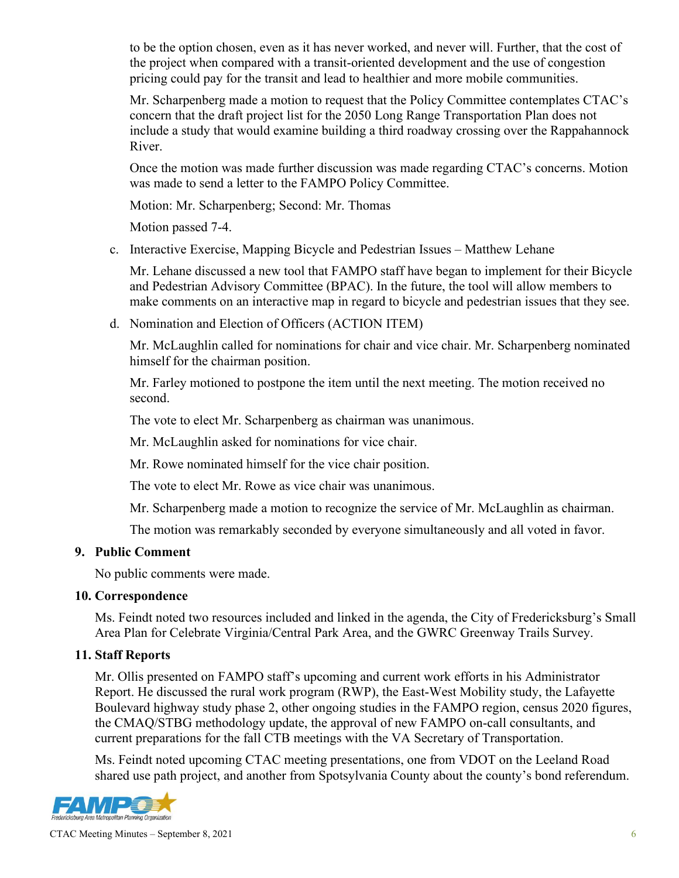to be the option chosen, even as it has never worked, and never will. Further, that the cost of the project when compared with a transit-oriented development and the use of congestion pricing could pay for the transit and lead to healthier and more mobile communities.

Mr. Scharpenberg made a motion to request that the Policy Committee contemplates CTAC's concern that the draft project list for the 2050 Long Range Transportation Plan does not include a study that would examine building a third roadway crossing over the Rappahannock River.

Once the motion was made further discussion was made regarding CTAC's concerns. Motion was made to send a letter to the FAMPO Policy Committee.

Motion: Mr. Scharpenberg; Second: Mr. Thomas

Motion passed 7-4.

c. Interactive Exercise, Mapping Bicycle and Pedestrian Issues – Matthew Lehane

Mr. Lehane discussed a new tool that FAMPO staff have began to implement for their Bicycle and Pedestrian Advisory Committee (BPAC). In the future, the tool will allow members to make comments on an interactive map in regard to bicycle and pedestrian issues that they see.

d. Nomination and Election of Officers (ACTION ITEM)

Mr. McLaughlin called for nominations for chair and vice chair. Mr. Scharpenberg nominated himself for the chairman position.

Mr. Farley motioned to postpone the item until the next meeting. The motion received no second.

The vote to elect Mr. Scharpenberg as chairman was unanimous.

Mr. McLaughlin asked for nominations for vice chair.

Mr. Rowe nominated himself for the vice chair position.

The vote to elect Mr. Rowe as vice chair was unanimous.

Mr. Scharpenberg made a motion to recognize the service of Mr. McLaughlin as chairman.

The motion was remarkably seconded by everyone simultaneously and all voted in favor.

## **9. Public Comment**

No public comments were made.

### **10. Correspondence**

Ms. Feindt noted two resources included and linked in the agenda, the [City of Fredericksburg's Small](https://www.fredericksburgva.gov/DocumentCenter/View/18014/Area-1-FINAL-REPORT)  [Area Plan for Celebrate Virginia/Central Park Area,](https://www.fredericksburgva.gov/DocumentCenter/View/18014/Area-1-FINAL-REPORT) and the GWRC Greenway Trails Survey.

## **11. Staff Reports**

Mr. Ollis presented on FAMPO staff's upcoming and current work efforts in his Administrator Report. He discussed the rural work program (RWP), the East-West Mobility study, the Lafayette Boulevard highway study phase 2, other ongoing studies in the FAMPO region, census 2020 figures, the CMAQ/STBG methodology update, the approval of new FAMPO on-call consultants, and current preparations for the fall CTB meetings with the VA Secretary of Transportation.

Ms. Feindt noted [upcoming CTAC meeting presentations,](https://www.fampo.gwregion.org/wp-content/uploads/2021/09/Upcoming-CTAC-Meeting-Presentations.pdf) one from VDOT on the Leeland Road shared use path project, and another from Spotsylvania County about the county's bond referendum.